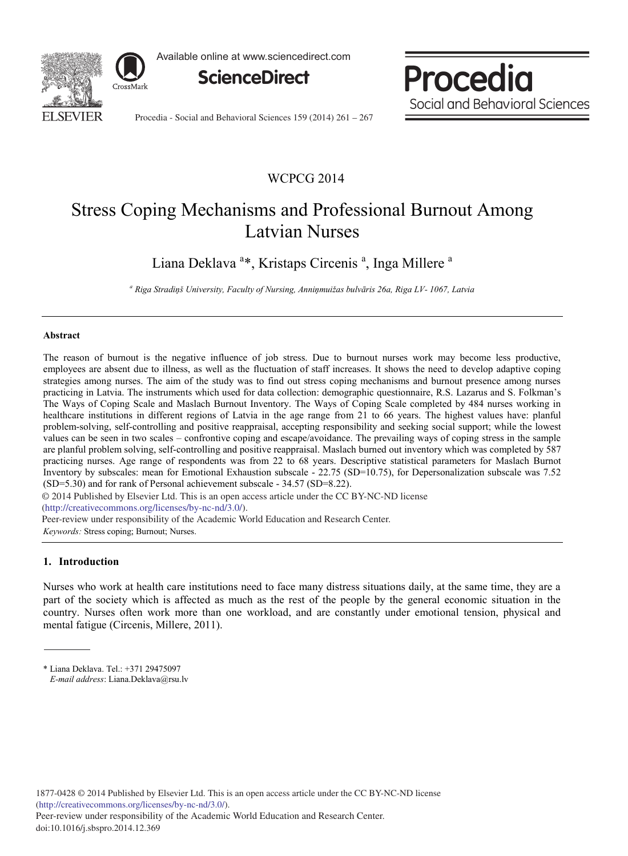

Available online at www.sciencedirect.com



Procedia Social and Behavioral Sciences

Procedia - Social and Behavioral Sciences 159 (2014) 261 – 267

# WCPCG 2014

# Stress Coping Mechanisms and Professional Burnout Among Latvian Nurses

Liana Deklava<sup>a\*</sup>, Kristaps Circenis<sup>a</sup>, Inga Millere<sup>a</sup>

*<sup>a</sup> Riga Stradiņš University, Faculty of Nursing, Anniņmuižas bulvāris 26a, Riga LV- 1067, Latvia*

#### **Abstract**

The reason of burnout is the negative influence of job stress. Due to burnout nurses work may become less productive, employees are absent due to illness, as well as the fluctuation of staff increases. It shows the need to develop adaptive coping strategies among nurses. The aim of the study was to find out stress coping mechanisms and burnout presence among nurses practicing in Latvia. The instruments which used for data collection: demographic questionnaire, R.S. Lazarus and S. Folkman's The Ways of Coping Scale and Maslach Burnout Inventory. The Ways of Coping Scale completed by 484 nurses working in healthcare institutions in different regions of Latvia in the age range from 21 to 66 years. The highest values have: planful problem-solving, self-controlling and positive reappraisal, accepting responsibility and seeking social support; while the lowest values can be seen in two scales – confrontive coping and escape/avoidance. The prevailing ways of coping stress in the sample are planful problem solving, self-controlling and positive reappraisal. Maslach burned out inventory which was completed by 587 practicing nurses. Age range of respondents was from 22 to 68 years. Descriptive statistical parameters for Maslach Burnot Inventory by subscales: mean for Emotional Exhaustion subscale - 22.75 (SD=10.75), for Depersonalization subscale was 7.52 (SD=5.30) and for rank of Personal achievement subscale - 34.57 (SD=8.22).

© 2014 Published by Elsevier Ltd. This is an open access article under the CC BY-NC-ND license

(http://creativecommons.org/licenses/by-nc-nd/3.0/).

*Keywords:* Stress coping; Burnout; Nurses. Peer-review under responsibility of the Academic World Education and Research Center.

# **1. Introduction**

Nurses who work at health care institutions need to face many distress situations daily, at the same time, they are a part of the society which is affected as much as the rest of the people by the general economic situation in the country. Nurses often work more than one workload, and are constantly under emotional tension, physical and mental fatigue (Circenis, Millere, 2011).

<sup>\*</sup> Liana Deklava. Tel.: +371 29475097  *E-mail address*: Liana.Deklava@rsu.lv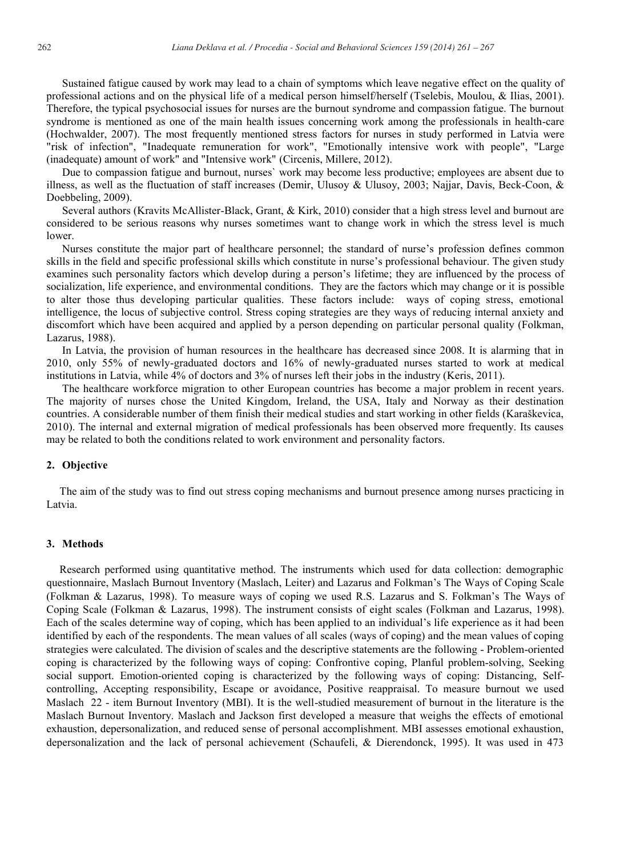Sustained fatigue caused by work may lead to a chain of symptoms which leave negative effect on the quality of professional actions and on the physical life of a medical person himself/herself (Tselebis, Moulou, & Ilias, 2001). Therefore, the typical psychosocial issues for nurses are the burnout syndrome and compassion fatigue. The burnout syndrome is mentioned as one of the main health issues concerning work among the professionals in health-care (Hochwalder, 2007). The most frequently mentioned stress factors for nurses in study performed in Latvia were "risk of infection", "Inadequate remuneration for work", "Emotionally intensive work with people", "Large (inadequate) amount of work" and "Intensive work" (Circenis, Millere, 2012).

Due to compassion fatigue and burnout, nurses` work may become less productive; employees are absent due to illness, as well as the fluctuation of staff increases (Demir, Ulusoy & Ulusoy, 2003; Najjar, Davis, Beck-Coon,  $\&$ Doebbeling, 2009).

Several authors (Kravits McAllister-Black, Grant, & Kirk, 2010) consider that a high stress level and burnout are considered to be serious reasons why nurses sometimes want to change work in which the stress level is much lower.

Nurses constitute the major part of healthcare personnel; the standard of nurse's profession defines common skills in the field and specific professional skills which constitute in nurse's professional behaviour. The given study examines such personality factors which develop during a person's lifetime; they are influenced by the process of socialization, life experience, and environmental conditions. They are the factors which may change or it is possible to alter those thus developing particular qualities. These factors include: ways of coping stress, emotional intelligence, the locus of subjective control. Stress coping strategies are they ways of reducing internal anxiety and discomfort which have been acquired and applied by a person depending on particular personal quality (Folkman, Lazarus, 1988).

In Latvia, the provision of human resources in the healthcare has decreased since 2008. It is alarming that in 2010, only 55% of newly-graduated doctors and 16% of newly-graduated nurses started to work at medical institutions in Latvia, while 4% of doctors and 3% of nurses left their jobs in the industry (Keris, 2011).

The healthcare workforce migration to other European countries has become a major problem in recent years. The majority of nurses chose the United Kingdom, Ireland, the USA, Italy and Norway as their destination countries. A considerable number of them finish their medical studies and start working in other fields (Karaškevica, 2010). The internal and external migration of medical professionals has been observed more frequently. Its causes may be related to both the conditions related to work environment and personality factors.

# **2. Objective**

The aim of the study was to find out stress coping mechanisms and burnout presence among nurses practicing in Latvia.

#### **3. Methods**

Research performed using quantitative method. The instruments which used for data collection: demographic questionnaire, Maslach Burnout Inventory (Maslach, Leiter) and Lazarus and Folkman's The Ways of Coping Scale (Folkman & Lazarus, 1998). To measure ways of coping we used R.S. Lazarus and S. Folkman's The Ways of Coping Scale (Folkman & Lazarus, 1998). The instrument consists of eight scales (Folkman and Lazarus, 1998). Each of the scales determine way of coping, which has been applied to an individual's life experience as it had been identified by each of the respondents. The mean values of all scales (ways of coping) and the mean values of coping strategies were calculated. The division of scales and the descriptive statements are the following - Problem-oriented coping is characterized by the following ways of coping: Confrontive coping, Planful problem-solving, Seeking social support. Emotion-oriented coping is characterized by the following ways of coping: Distancing, Selfcontrolling, Accepting responsibility, Escape or avoidance, Positive reappraisal. To measure burnout we used Maslach 22 - item Burnout Inventory (MBI). It is the well-studied measurement of burnout in the literature is the Maslach Burnout Inventory. Maslach and Jackson first developed a measure that weighs the effects of emotional exhaustion, depersonalization, and reduced sense of personal accomplishment. MBI assesses emotional exhaustion, depersonalization and the lack of personal achievement (Schaufeli, & Dierendonck, 1995). It was used in 473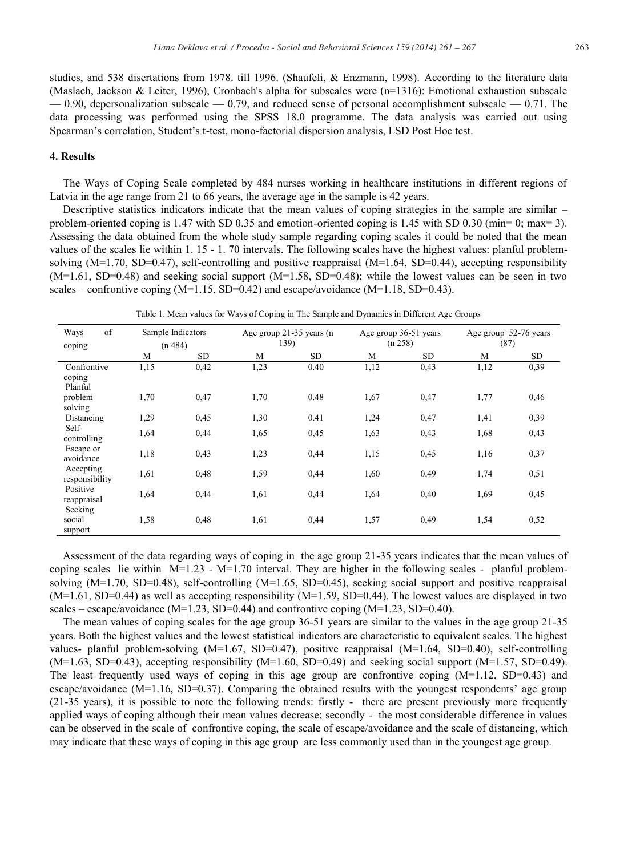studies, and 538 disertations from 1978. till 1996. (Shaufeli, & Enzmann, 1998). According to the literature data (Maslach, Jackson & Leiter, 1996), Cronbach's alpha for subscales were (n=1316): Emotional exhaustion subscale  $-0.90$ , depersonalization subscale  $-0.79$ , and reduced sense of personal accomplishment subscale  $-0.71$ . The data processing was performed using the SPSS 18.0 programme. The data analysis was carried out using Spearman's correlation, Student's t-test, mono-factorial dispersion analysis, LSD Post Hoc test.

## **4. Results**

The Ways of Coping Scale completed by 484 nurses working in healthcare institutions in different regions of Latvia in the age range from 21 to 66 years, the average age in the sample is 42 years.

Descriptive statistics indicators indicate that the mean values of coping strategies in the sample are similar – problem-oriented coping is 1.47 with SD 0.35 and emotion-oriented coping is 1.45 with SD 0.30 (min= 0; max= 3). Assessing the data obtained from the whole study sample regarding coping scales it could be noted that the mean values of the scales lie within 1. 15 - 1. 70 intervals. The following scales have the highest values: planful problemsolving  $(M=1.70, SD=0.47)$ , self-controlling and positive reappraisal  $(M=1.64, SD=0.44)$ , accepting responsibility  $(M=1.61, SD=0.48)$  and seeking social support  $(M=1.58, SD=0.48)$ ; while the lowest values can be seen in two scales – confrontive coping  $(M=1.15, SD=0.42)$  and escape/avoidance  $(M=1.18, SD=0.43)$ .

Table 1. Mean values for Ways of Coping in The Sample and Dynamics in Different Age Groups

| of<br>Ways<br>coping               | Sample Indicators<br>(n 484) |           | Age group 21-35 years (n<br>Age group 36-51 years<br>139)<br>(n 258) |           |      | Age group 52-76 years<br>(87) |      |      |
|------------------------------------|------------------------------|-----------|----------------------------------------------------------------------|-----------|------|-------------------------------|------|------|
|                                    | M                            | <b>SD</b> | M                                                                    | <b>SD</b> | M    | <b>SD</b>                     | M    | SD.  |
| Confrontive<br>coping<br>Planful   | 1,15                         | 0,42      | 1,23                                                                 | 0.40      | 1,12 | 0,43                          | 1,12 | 0,39 |
| problem-<br>solving                | 1,70                         | 0,47      | 1,70                                                                 | 0.48      | 1,67 | 0,47                          | 1,77 | 0,46 |
| Distancing                         | 1,29                         | 0,45      | 1.30                                                                 | 0.41      | 1,24 | 0,47                          | 1,41 | 0,39 |
| Self-<br>controlling               | 1,64                         | 0,44      | 1,65                                                                 | 0,45      | 1,63 | 0,43                          | 1,68 | 0,43 |
| Escape or<br>avoidance             | 1,18                         | 0,43      | 1,23                                                                 | 0,44      | 1,15 | 0,45                          | 1,16 | 0,37 |
| Accepting<br>responsibility        | 1,61                         | 0,48      | 1,59                                                                 | 0,44      | 1,60 | 0,49                          | 1,74 | 0,51 |
| Positive<br>reappraisal<br>Seeking | 1,64                         | 0,44      | 1,61                                                                 | 0,44      | 1,64 | 0,40                          | 1,69 | 0,45 |
| social<br>support                  | 1.58                         | 0,48      | 1,61                                                                 | 0,44      | 1,57 | 0.49                          | 1,54 | 0,52 |

Assessment of the data regarding ways of coping in the age group 21-35 years indicates that the mean values of coping scales lie within  $M=1.23$  -  $M=1.70$  interval. They are higher in the following scales - planful problemsolving (M=1.70, SD=0.48), self-controlling (M=1.65, SD=0.45), seeking social support and positive reappraisal  $(M=1.61, SD=0.44)$  as well as accepting responsibility  $(M=1.59, SD=0.44)$ . The lowest values are displayed in two scales – escape/avoidance (M=1.23, SD=0.44) and confrontive coping (M=1.23, SD=0.40).

The mean values of coping scales for the age group 36-51 years are similar to the values in the age group 21-35 years. Both the highest values and the lowest statistical indicators are characteristic to equivalent scales. The highest values- planful problem-solving  $(M=1.67, SD=0.47)$ , positive reappraisal  $(M=1.64, SD=0.40)$ , self-controlling  $(M=1.63, SD=0.43)$ , accepting responsibility  $(M=1.60, SD=0.49)$  and seeking social support  $(M=1.57, SD=0.49)$ . The least frequently used ways of coping in this age group are confrontive coping  $(M=1.12, SD=0.43)$  and escape/avoidance (M=1.16, SD=0.37). Comparing the obtained results with the youngest respondents' age group (21-35 years), it is possible to note the following trends: firstly - there are present previously more frequently applied ways of coping although their mean values decrease; secondly - the most considerable difference in values can be observed in the scale of confrontive coping, the scale of escape/avoidance and the scale of distancing, which may indicate that these ways of coping in this age group are less commonly used than in the youngest age group.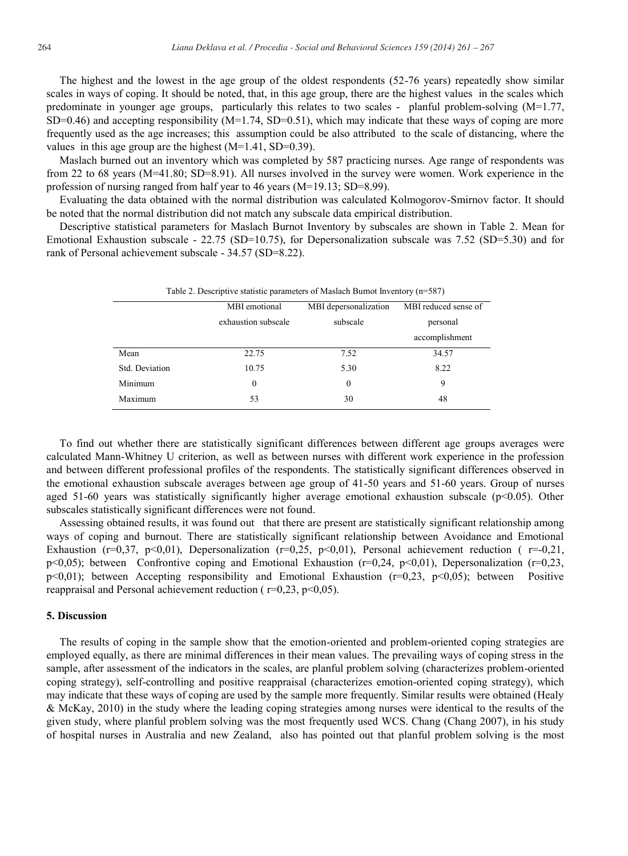The highest and the lowest in the age group of the oldest respondents (52-76 years) repeatedly show similar scales in ways of coping. It should be noted, that, in this age group, there are the highest values in the scales which predominate in younger age groups, particularly this relates to two scales - planful problem-solving (M=1.77, SD=0.46) and accepting responsibility  $(M=1.74, SD=0.51)$ , which may indicate that these ways of coping are more frequently used as the age increases; this assumption could be also attributed to the scale of distancing, where the values in this age group are the highest  $(M=1.41, SD=0.39)$ .

Maslach burned out an inventory which was completed by 587 practicing nurses. Age range of respondents was from 22 to 68 years (M=41.80; SD=8.91). All nurses involved in the survey were women. Work experience in the profession of nursing ranged from half year to 46 years (M=19.13; SD=8.99).

Evaluating the data obtained with the normal distribution was calculated Kolmogorov-Smirnov factor. It should be noted that the normal distribution did not match any subscale data empirical distribution.

Descriptive statistical parameters for Maslach Burnot Inventory by subscales are shown in Table 2. Mean for Emotional Exhaustion subscale - 22.75 (SD=10.75), for Depersonalization subscale was 7.52 (SD=5.30) and for rank of Personal achievement subscale - 34.57 (SD=8.22).

| Table 2. Descriptive statistic parameters of Maslach Burnot Inventory (n=587) |                     |                       |                      |  |  |  |  |
|-------------------------------------------------------------------------------|---------------------|-----------------------|----------------------|--|--|--|--|
|                                                                               | MBI emotional       | MBI depersonalization | MBI reduced sense of |  |  |  |  |
|                                                                               | exhaustion subscale | subscale              | personal             |  |  |  |  |
|                                                                               |                     |                       | accomplishment       |  |  |  |  |
| Mean                                                                          | 22.75               | 7.52                  | 34.57                |  |  |  |  |
| Std. Deviation                                                                | 10.75               | 5.30                  | 8.22                 |  |  |  |  |
| Minimum                                                                       | 0                   | 0                     | 9                    |  |  |  |  |
| Maximum                                                                       | 53                  | 30                    | 48                   |  |  |  |  |

To find out whether there are statistically significant differences between different age groups averages were calculated Mann-Whitney U criterion, as well as between nurses with different work experience in the profession and between different professional profiles of the respondents. The statistically significant differences observed in the emotional exhaustion subscale averages between age group of 41-50 years and 51-60 years. Group of nurses aged 51-60 years was statistically significantly higher average emotional exhaustion subscale (p<0.05). Other subscales statistically significant differences were not found.

Assessing obtained results, it was found out that there are present are statistically significant relationship among ways of coping and burnout. There are statistically significant relationship between Avoidance and Emotional Exhaustion ( $r=0,37$ ,  $p<0,01$ ), Depersonalization ( $r=0,25$ ,  $p<0,01$ ), Personal achievement reduction ( $r=-0,21$ , p<0,05); between Confrontive coping and Emotional Exhaustion ( $r=0,24$ ,  $p<0,01$ ), Depersonalization ( $r=0,23$ , p<0,01); between Accepting responsibility and Emotional Exhaustion (r=0,23, p<0,05); between Positive reappraisal and Personal achievement reduction ( $r=0.23$ ,  $p<0.05$ ).

#### **5. Discussion**

The results of coping in the sample show that the emotion-oriented and problem-oriented coping strategies are employed equally, as there are minimal differences in their mean values. The prevailing ways of coping stress in the sample, after assessment of the indicators in the scales, are planful problem solving (characterizes problem-oriented coping strategy), self-controlling and positive reappraisal (characterizes emotion-oriented coping strategy), which may indicate that these ways of coping are used by the sample more frequently. Similar results were obtained (Healy & McKay, 2010) in the study where the leading coping strategies among nurses were identical to the results of the given study, where planful problem solving was the most frequently used WCS. Chang (Chang 2007), in his study of hospital nurses in Australia and new Zealand, also has pointed out that planful problem solving is the most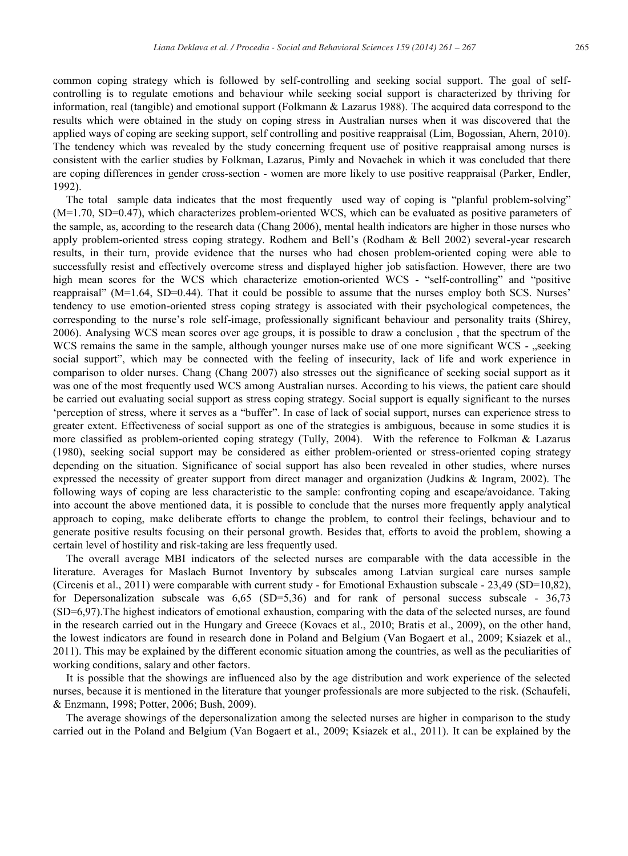common coping strategy which is followed by self-controlling and seeking social support. The goal of selfcontrolling is to regulate emotions and behaviour while seeking social support is characterized by thriving for information, real (tangible) and emotional support (Folkmann & Lazarus 1988). The acquired data correspond to the results which were obtained in the study on coping stress in Australian nurses when it was discovered that the applied ways of coping are seeking support, self controlling and positive reappraisal (Lim, Bogossian, Ahern, 2010). The tendency which was revealed by the study concerning frequent use of positive reappraisal among nurses is consistent with the earlier studies by Folkman, Lazarus, Pimly and Novachek in which it was concluded that there are coping differences in gender cross-section - women are more likely to use positive reappraisal (Parker, Endler, 1992).

The total sample data indicates that the most frequently used way of coping is "planful problem-solving" (M=1.70, SD=0.47), which characterizes problem-oriented WCS, which can be evaluated as positive parameters of the sample, as, according to the research data (Chang 2006), mental health indicators are higher in those nurses who apply problem-oriented stress coping strategy. Rodhem and Bell's (Rodham & Bell 2002) several-year research results, in their turn, provide evidence that the nurses who had chosen problem-oriented coping were able to successfully resist and effectively overcome stress and displayed higher job satisfaction. However, there are two high mean scores for the WCS which characterize emotion-oriented WCS - "self-controlling" and "positive reappraisal" (M=1.64, SD=0.44). That it could be possible to assume that the nurses employ both SCS. Nurses' tendency to use emotion-oriented stress coping strategy is associated with their psychological competences, the corresponding to the nurse's role self-image, professionally significant behaviour and personality traits (Shirey, 2006). Analysing WCS mean scores over age groups, it is possible to draw a conclusion , that the spectrum of the WCS remains the same in the sample, although younger nurses make use of one more significant WCS - "seeking social support", which may be connected with the feeling of insecurity, lack of life and work experience in comparison to older nurses. Chang (Chang 2007) also stresses out the significance of seeking social support as it was one of the most frequently used WCS among Australian nurses. According to his views, the patient care should be carried out evaluating social support as stress coping strategy. Social support is equally significant to the nurses 'perception of stress, where it serves as a "buffer". In case of lack of social support, nurses can experience stress to greater extent. Effectiveness of social support as one of the strategies is ambiguous, because in some studies it is more classified as problem-oriented coping strategy (Tully, 2004). With the reference to Folkman & Lazarus (1980), seeking social support may be considered as either problem-oriented or stress-oriented coping strategy depending on the situation. Significance of social support has also been revealed in other studies, where nurses expressed the necessity of greater support from direct manager and organization (Judkins & Ingram, 2002). The following ways of coping are less characteristic to the sample: confronting coping and escape/avoidance. Taking into account the above mentioned data, it is possible to conclude that the nurses more frequently apply analytical approach to coping, make deliberate efforts to change the problem, to control their feelings, behaviour and to generate positive results focusing on their personal growth. Besides that, efforts to avoid the problem, showing a certain level of hostility and risk-taking are less frequently used.

The overall average MBI indicators of the selected nurses are comparable with the data accessible in the literature. Averages for Maslach Burnot Inventory by subscales among Latvian surgical care nurses sample (Circenis et al., 2011) were comparable with current study - for Emotional Exhaustion subscale - 23,49 (SD=10,82), for Depersonalization subscale was  $6,65$  (SD=5,36) and for rank of personal success subscale -  $36,73$ (SD=6,97).The highest indicators of emotional exhaustion, comparing with the data of the selected nurses, are found in the research carried out in the Hungary and Greece (Kovacs et al., 2010; Bratis et al., 2009), on the other hand, the lowest indicators are found in research done in Poland and Belgium (Van Bogaert et al., 2009; Ksiazek et al., 2011). This may be explained by the different economic situation among the countries, as well as the peculiarities of working conditions, salary and other factors.

It is possible that the showings are influenced also by the age distribution and work experience of the selected nurses, because it is mentioned in the literature that younger professionals are more subjected to the risk. (Schaufeli, & Enzmann, 1998; Potter, 2006; Bush, 2009).

The average showings of the depersonalization among the selected nurses are higher in comparison to the study carried out in the Poland and Belgium (Van Bogaert et al., 2009; Ksiazek et al., 2011). It can be explained by the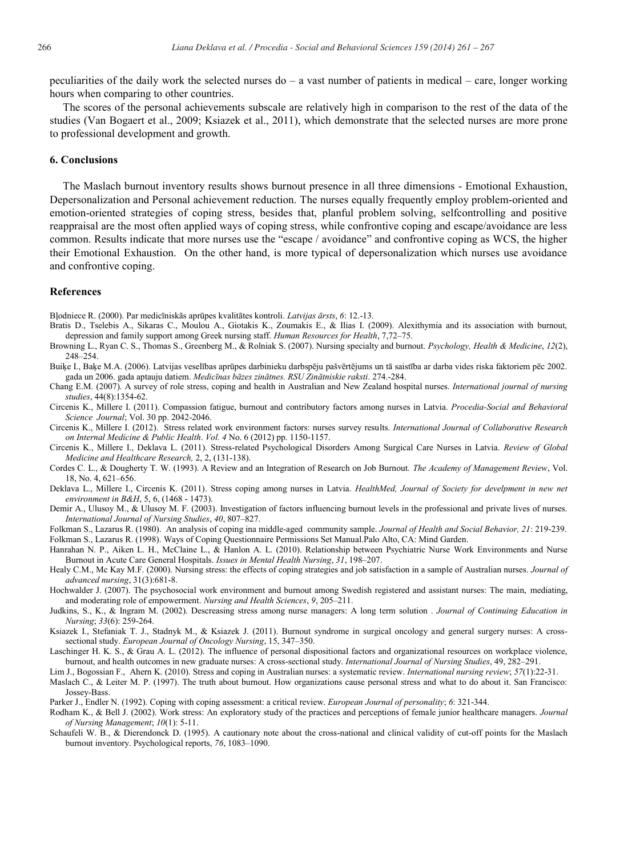peculiarities of the daily work the selected nurses do – a vast number of patients in medical – care, longer working hours when comparing to other countries.

The scores of the personal achievements subscale are relatively high in comparison to the rest of the data of the studies (Van Bogaert et al., 2009; Ksiazek et al., 2011), which demonstrate that the selected nurses are more prone to professional development and growth.

#### **6. Conclusions**

The Maslach burnout inventory results shows burnout presence in all three dimensions - Emotional Exhaustion, Depersonalization and Personal achievement reduction. The nurses equally frequently employ problem-oriented and emotion-oriented strategies of coping stress, besides that, planful problem solving, selfcontrolling and positive reappraisal are the most often applied ways of coping stress, while confrontive coping and escape/avoidance are less common. Results indicate that more nurses use the "escape / avoidance" and confrontive coping as WCS, the higher their Emotional Exhaustion. On the other hand, is more typical of depersonalization which nurses use avoidance and confrontive coping.

### **References**

Bļodniece R. (2000). Par medicīniskās aprūpes kvalitātes kontroli. *Latvijas ārsts*, *6*: 12.-13.

- Bratis D., Tselebis A., Sikaras C., Moulou A., Giotakis K., Zoumakis E., & Ilias I. (2009). Alexithymia and its association with burnout, depression and family support among Greek nursing staff. *Human Resources for Health*, 7,72–75.
- Browning L., Ryan C. S., Thomas S., Greenberg M., & Rolniak S. (2007). Nursing specialty and burnout. *Psychology, Health & Medicine*, *12*(2), 248–254.
- Buiķe I., Baķe M.A. (2006). Latvijas veselības aprūpes darbinieku darbspēju pašvērtējums un tā saistība ar darba vides riska faktoriem pēc 2002. gada un 2006. gada aptauju datiem. *Medicīnas bāzes zinātnes. RSU Zinātniskie raksti*. 274.-284.
- Chang E.M. (2007). A survey of role stress, coping and health in Australian and New Zealand hospital nurses. *International journal of nursing studies*, 44(8):1354-62.
- Circenis K., Millere I. (2011). Compassion fatigue, burnout and contributory factors among nurses in Latvia. *Procedia-Social and Behavioral Science Journal*; Vol. 30 pp. 2042-2046.
- Circenis K., Millere I. (2012). Stress related work environment factors: nurses survey results. *International Journal of Collaborative Research on Internal Medicine & Public Health*. *Vol. 4* No. 6 (2012) pp. 1150-1157.
- Circenis K., Millere I., Deklava L. (2011). Stress-related Psychological Disorders Among Surgical Care Nurses in Latvia. *Review of Global Medicine and Healthcare Research,* 2, 2, (131-138).
- Cordes C. L., & Dougherty T. W. (1993). A Review and an Integration of Research on Job Burnout. *The Academy of Management Review*, Vol. 18, No. 4, 621–656.
- Deklava L., Millere I., Circenis K. (2011). Stress coping among nurses in Latvia. *HealthMed, Journal of Society for develpment in new net environment in B&H*, 5, 6, (1468 - 1473).
- Demir A., Ulusoy M., & Ulusoy M. F. (2003). Investigation of factors influencing burnout levels in the professional and private lives of nurses. *International Journal of Nursing Studies*, *40*, 807–827.
- Folkman S., Lazarus R. (1980). An analysis of coping ina middle-aged community sample. *Journal of Health and Social Behavior, 21*: 219-239. Folkman S., Lazarus R. (1998). Ways of Coping Questionnaire Permissions Set Manual.Palo Alto, CA: Mind Garden.
- Hanrahan N. P., Aiken L. H., McClaine L., & Hanlon A. L. (2010). Relationship between Psychiatric Nurse Work Environments and Nurse Burnout in Acute Care General Hospitals. *Issues in Mental Health Nursing*, *31*, 198–207.
- Healy C.M., Mc Kay M.F. (2000). Nursing stress: the effects of coping strategies and job satisfaction in a sample of Australian nurses. *Journal of advanced nursing*, 31(3):681-8.
- Hochwalder J. (2007). The psychosocial work environment and burnout among Swedish registered and assistant nurses: The main, mediating, and moderating role of empowerment. *Nursing and Health Sciences*, *9*, 205–211.
- Judkins, S., K., & Ingram M. (2002). Descreasing stress among nurse managers: A long term solution . *Journal of Continuing Education in Nursing*; *33*(6): 259-264.
- Ksiazek I., Stefaniak T. J., Stadnyk M., & Ksiazek J. (2011). Burnout syndrome in surgical oncology and general surgery nurses: A crosssectional study. *European Journal of Oncology Nursing*, 15, 347–350.
- Laschinger H. K. S., & Grau A. L. (2012). The influence of personal dispositional factors and organizational resources on workplace violence, burnout, and health outcomes in new graduate nurses: A cross-sectional study. *International Journal of Nursing Studies*, 49, 282–291.
- Lim J., Bogossian F., Ahern K. (2010). Stress and coping in Australian nurses: a systematic review. *International nursing review*; *57*(1):22-31.
- Maslach C., & Leiter M. P. (1997). The truth about burnout. How organizations cause personal stress and what to do about it. San Francisco: Jossey-Bass.
- Parker J., Endler N. (1992). Coping with coping assessment: a critical review. *European Journal of personality*; *6*: 321-344.
- Rodham K., & Bell J. (2002). Work stress: An exploratory study of the practices and perceptions of female junior healthcare managers. *Journal of Nursing Management*; *10*(1): 5-11.
- Schaufeli W. B., & Dierendonck D. (1995). A cautionary note about the cross-national and clinical validity of cut-off points for the Maslach burnout inventory. Psychological reports, *76*, 1083–1090.